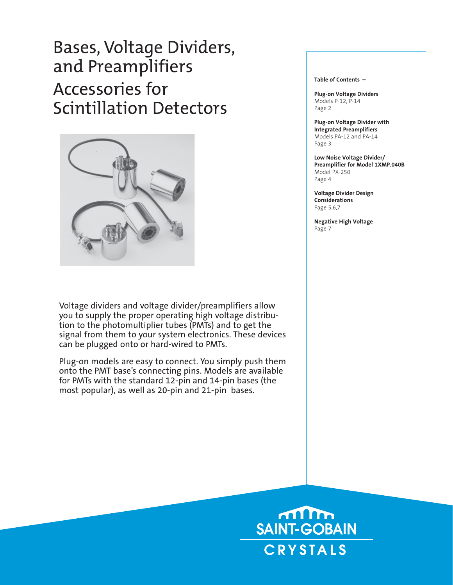# Bases, Voltage Dividers, and Preamplifiers Accessories for Scintillation Detectors



Voltage dividers and voltage divider/preamplifiers allow you to supply the proper operating high voltage distribution to the photomultiplier tubes (PMTs) and to get the signal from them to your system electronics. These devices can be plugged onto or hard-wired to PMTs.

Plug-on models are easy to connect. You simply push them onto the PMT base's connecting pins. Models are available for PMTs with the standard 12-pin and 14-pin bases (the most popular), as well as 20-pin and 21-pin bases.

**Table of Contents –**

**Plug-on Voltage Dividers** Models P-12, P-14 Page 2

**Plug-on Voltage Divider with Integrated Preamplifiers** Models PA-12 and PA-14 Page 3

**Low Noise Voltage Divider/ Preamplifier for Model 1XMP.040B** Model PX-250 Page 4

**Voltage Divider Design Considerations** Page 5,6,7

**Negative High Voltage** Page 7

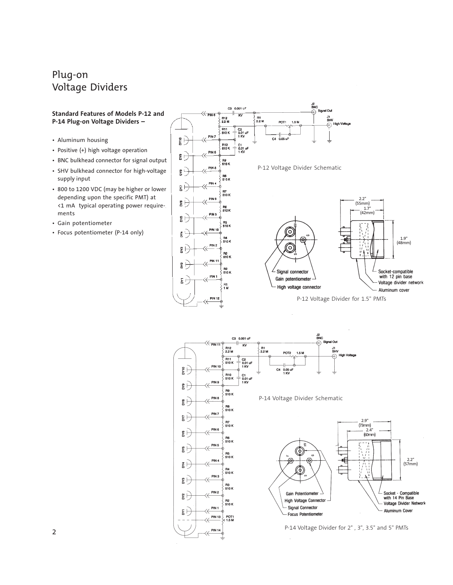# Plug-on Voltage Dividers



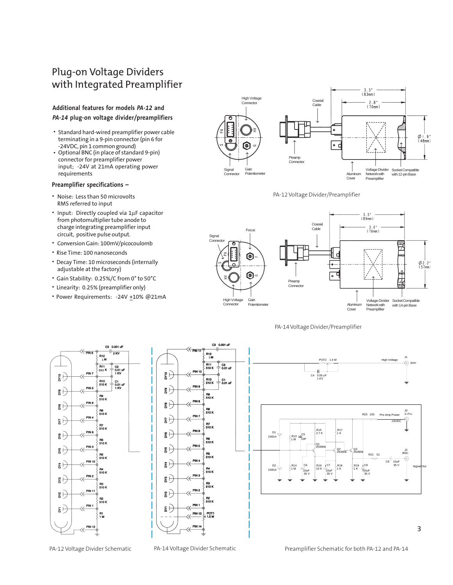# Plug-on Voltage Dividers with Integrated Preamplifier

# **Additional features for models** *PA-12* **and** *PA-14* **plug-on voltage divider/preamplifiers**

- Standard hard-wired preamplifier power cable terminating in a 9-pin connector (pin 6 for -24VDC, pin 1 common ground)
- Optional BNC (in place of standard 9-pin) connector for preamplifier power input; -24V at 21mA operating power requirements

# **Preamplifier specifications –**

- Noise: Less than 50 microvolts RMS referred to input
- Input: Directly coupled via 1μF capacitor from photomultiplier tube anode to charge integrating preamplifier input circuit, positive pulse output.
- Conversion Gain: 100mV/picocoulomb
- Rise Time: 100 nanoseconds
- Decay Time: 10 microseconds (internally adjustable at the factory)
- Gain Stability: 0.25%/C from 0° to 50°C
- Linearity:0.25% (preamplifier only)
- Power Requirements: -24V +10% @21mA





PA-12 Voltage Divider/Preamplifier











PA-12 Voltage Divider Schematic PA-14 Voltage Divider Schematic Preamplifier Schematic for both PA-12 and PA-14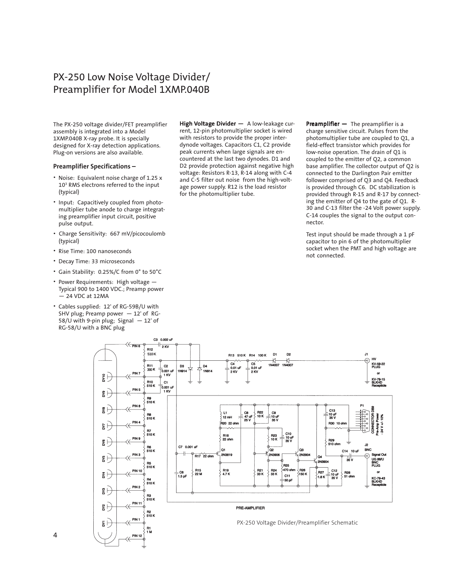# PX-250 Low Noise Voltage Divider/ Preamplifier for Model 1XMP.040B

The PX-250 voltage divider/FET preamplifier assembly is integrated into a Model 1XMP.040B X-ray probe. It is specially designed for X-ray detection applications. Plug-on versions are also available.

## **Preamplifier Specifications –**

- Noise: Equivalent noise charge of 1.25 x 103 RMS electrons referred to the input (typical)
- Input: Capacitively coupled from photomultiplier tube anode to charge integrating preamplifier input circuit, positive pulse output.
- Charge Sensitivity: 667 mV/picocoulomb (typical)
- Rise Time: 100 nanoseconds
- Decay Time: 33 microseconds
- Gain Stability: 0.25%/C from 0° to 50°C
- Power Requirements:High voltage Typical 900 to 1400 VDC.; Preamp power  $-24$  VDC at 12MA
- Cables supplied: 12' of RG-59B/U with SHV plug; Preamp power — 12' of RG-58/U with 9-pin plug; Signal — 12' of RG-58/U with a BNC plug

High Voltage Divider  $-$  A low-leakage current, 12-pin photomultiplier socket is wired with resistors to provide the proper interdynode voltages. Capacitors C1, C2 provide peak currents when large signals are encountered at the last two dynodes. D1 and D2 provide protection against negative high voltage: Resistors R-13, R-14 along with C-4 and C-5 filter out noise from the high-voltage power supply. R12 is the load resistor for the photomultiplier tube.

**Preamplifier**  $-$  The preamplifier is a charge sensitive circuit. Pulses from the photomultiplier tube are coupled to Q1, a field-effect transistor which provides for low-noise operation. The drain of Q1 is coupled to the emitter of Q2, a common base amplifier. The collector output of Q2 is connected to the Darlington Pair emitter follower comprised of Q3 and Q4. Feedback is provided through C6. DC stabilization is provided through R-15 and R-17 by connecting the emitter of Q4 to the gate of Q1. R-30 and C-13 filter the -24 Volt power supply. C-14 couples the signal to the output connector.

Test input should be made through a 1 pF capacitor to pin 6 of the photomultiplier socket when the PMT and high voltage are not connected.



4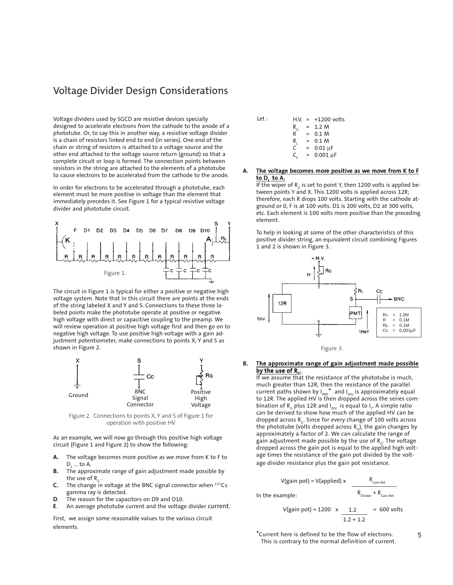# Voltage Divider Design Considerations

Voltage dividers used by SGCD are resistive devices specially designed to accelerate electrons from the cathode to the anode of a phototube. Or, to say this in another way, a resistive voltage divider is a chain of resistors linked end to end (in series). One end of the chain or string of resistors is attached to a voltage source and the other end attached to the voltage source return (ground) so that a complete circuit or loop is formed. The connection points between resistors in the string are attached to the elements of a phototube to cause electrons to be accelerated from the cathode to the anode.

In order for electrons to be accelerated through a phototube, each element must be more positive in voltage than the element that immediately precedes it. See Figure 1 for a typical resistive voltage divider and phototube circuit.



The circuit in Figure 1 is typical for either a positive or negative high voltage system. Note that in this circuit there are points at the ends of the string labeled X and Y and S. Connections to these three labeled points make the phototube operate at positive or negative high voltage with direct or capacitive coupling to the preamp. We will review operation at positive high voltage first and then go on to negative high voltage. To use positive high voltage with a gain adjustment potentiometer, make connections to points X, Y and S as shown in Figure 2.



Figure 2. Connections to points X, Y and S of Figure 1 for operation with positive HV

As an example, we will now go through this positive high voltage circuit (Figure 1 and Figure 2) to show the following:

- A. The voltage becomes more positive as we move from K to F to D<sub>1</sub> ... to A.
- **B.** The approximate range of gain adjustment made possible by the use of  $R<sub>c</sub>$ .
- **C.** The change in voltage at the BNC signal connector when  $137Cs$ gamma ray is detected.
- D. The reason for the capacitors on D9 and D10.
- E. An average phototube current and the voltage divider current.

First, we assign some reasonable values to the various circuit elements.

Let : H.V. = +1200 volts  
\n
$$
R_c
$$
 = 1.2 M  
\n $R$  = 0.1 M  
\n $R_L$  = 0.1 M  
\n $C$  = 0.01 μF  
\n $C_c$  = 0.001 μF

### The voltage becomes more positive as we move from K to F to  $D_1$  to  $A$ .

If the wiper of  $R<sub>c</sub>$  is set to point Y, then 1200 volts is applied between points Y and X. This 1200 volts is applied across 12R; therefore, each R drops 100 volts. Starting with the cathode atground or 0, F is at 100 volts. D1 is 200 volts, D2 at 300 volts, etc. Each element is 100 volts more positive than the preceding element.

To help in looking at some of the other characteristics of this positive divider string, an equivalent circuit combining Figures 1 and 2 is shown in Figure 3.



Figure 3.

# B. The approximate range of gain adjustment made possible by the use of  $R_{G}$ .

If we assume that the resistance of the phototube is much, much greater than 12R, then the resistance of the parallel current paths shown by  $I_{PMT}^*$  and  $I_{DIV}$  is approximately equal to 12R. The applied HV is then dropped across the series combination of R<sub>G</sub> plus 12R and I<sub>DIV</sub> is equal to I<sub>T</sub>. A simple ratio can be derived to show how much of the applied HV can be dropped across  $R_{c}$ . Since for every change of 100 volts across the phototube (volts dropped across  $R_c$ ), the gain changes by approximately a factor of 2. We can calculate the range of gain adjustment made possible by the use of  $R_{\rm G}$ . The voltage dropped across the gain pot is equal to the applied high voltage times the resistance of the gain pot divided by the voltage divider resistance plus the gain pot resistance.

$$
V(gain pot) = V(applied) \times \frac{R_{Gain Pot}}{R_{Divider} + R_{Gain Pot}}
$$
  
In the example:

V(gain pot) = 1200 x 
$$
\underline{1.2}
$$
 = 600 volts  
1.2 + 1.2 = 600 volts

\*Current here is defined to be the flow of electrons. This is contrary to the normal definition of current. 5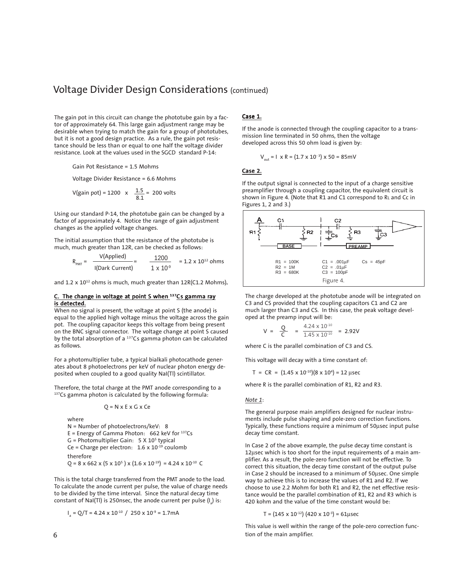# Voltage Divider Design Considerations (continued)

The gain pot in this circuit can change the phototube gain by a factor of approximately 64. This large gain adjustment range may be desirable when trying to match the gain for a group of phototubes, but it is not a good design practice. As a rule, the gain pot resistance should be less than or equal to one half the voltage divider resistance. Look at the values used in the SGCD standard P-14:

Gain Pot Resistance = 1.5 Mohms

Voltage Divider Resistance = 6.6 Mohms

V(gain pot) = 1200 x 
$$
\frac{1.5}{8.1}
$$
 = 200 volts

Using our standard P-14, the phototube gain can be changed by a factor of approximately 4. Notice the range of gain adjustment changes as the applied voltage changes.

The initial assumption that the resistance of the phototube is much, much greater than 12R, can be checked as follows:

$$
R_{PMT} = \frac{V(\text{Applied})}{I(\text{Dark Current})} = \frac{1200}{1 \times 10^{-9}} = 1.2 \times 10^{12} \text{ ohms}
$$

and  $1.2 \times 10^{12}$  ohms is much, much greater than  $12R(C1.2 \text{ Mohns})$ .

### C. The change in voltage at point S when <sup>137</sup>Cs gamma ray is detected.

When no signal is present, the voltage at point S (the anode) is equal to the applied high voltage minus the voltage across the gain pot. The coupling capacitor keeps this voltage from being present on the BNC signal connector. The voltage change at point S caused by the total absorption of a  $137Cs$  gamma photon can be calculated as follows.

For a photomultiplier tube, a typical bialkali photocathode generates about 8 photoelectrons per keV of nuclear photon energy deposited when coupled to a good quality NaI(Tl) scintillator.

Therefore, the total charge at the PMT anode corresponding to a 137Cs gamma photon is calculated by the following formula:

$$
Q = N \times E \times G \times Ce
$$

where N = Number of photoelectrons/keV: 8  $E =$  Energy of Gamma Photon: 662 keV for  $137Cs$  $G =$  Photomultiplier Gain:  $5 \times 10^5$  typical Ce = Charge per electron:  $1.6 \times 10^{-19}$  coulomb therefore  $Q = 8 \times 662 \times (5 \times 10^5) \times (1.6 \times 10^{-19}) = 4.24 \times 10^{-10}$  C

This is the total charge transferred from the PMT anode to the load. To calculate the anode current per pulse, the value of charge needs to be divided by the time interval. Since the natural decay time constant of NaI(TI) is 250nsec, the anode current per pulse (I $_{\tiny \text{a}}$ ) is:

$$
I_a = Q/T = 4.24 \times 10^{-10} / 250 \times 10^{-9} = 1.7 \text{mA}
$$

# Case 1.

If the anode is connected through the coupling capacitor to a transmission line terminated in 50 ohms, then the voltage developed across this 50 ohm load is given by:

$$
V_{\text{out}} = 1 \times R = (1.7 \times 10^{-3}) \times 50 = 85 \text{ mV}
$$

## Case 2.

If the output signal is connected to the input of a charge sensitive preamplifier through a coupling capacitor, the equivalent circuit is shown in Figure 4. (Note that R1 and C1 correspond to RL and Cc in Figures 1, 2 and 3.)



The charge developed at the phototube anode will be integrated on C3 and CS provided that the coupling capacitors C1 and C2 are much larger than C3 and CS. In this case, the peak voltage developed at the preamp input will be:

$$
V = \frac{Q}{C} = \frac{4.24 \times 10^{-10}}{1.45 \times 10^{-10}} = 2.92V
$$

where C is the parallel combination of C3 and CS.

This voltage will decay with a time constant of:

 $T = CR = (1.45 \times 10^{-10})(8 \times 10^4) = 12 \mu sec$ 

where R is the parallel combination of R1, R2 and R3.

#### *Note 1*:

The general purpose main amplifiers designed for nuclear instruments include pulse shaping and pole-zero correction functions. Typically, these functions require a minimum of 50μsec input pulse decay time constant.

In Case 2 of the above example, the pulse decay time constant is 12μsec which is too short for the input requirements of a main amplifier. As a result, the pole-zero function will not be effective. To correct this situation, the decay time constant of the output pulse in Case 2 should be increased to a minimum of 50μsec. One simple way to achieve this is to increase the values of R1 and R2. If we choose to use 2.2 Mohm for both R1 and R2, the net effective resistance would be the parallel combination of R1, R2 and R3 which is 420 kohm and the value of the time constant would be:

T =  $(145 \times 10^{-12})$   $(420 \times 10^{-3})$  = 61 µsec

This value is well within the range of the pole-zero correction function of the main amplifier.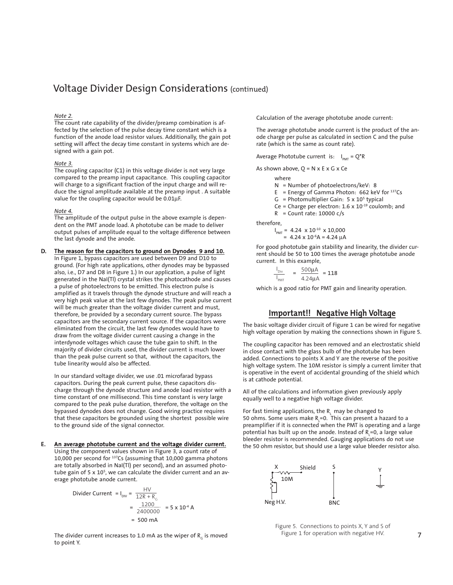# Voltage Divider Design Considerations (continued)

#### *Note 2.*

The count rate capability of the divider/preamp combination is affected by the selection of the pulse decay time constant which is a function of the anode load resistor values. Additionally, the gain pot setting will affect the decay time constant in systems which are designed with a gain pot.

#### *Note 3.*

 $\overline{\text{The coupling capacitor (C1)}}$  in this voltage divider is not very large compared to the preamp input capacitance. This coupling capacitor will charge to a significant fraction of the input charge and will reduce the signal amplitude available at the preamp input . A suitable value for the coupling capacitor would be 0.01μF.

### *Note 4.*

The amplitude of the output pulse in the above example is dependent on the PMT anode load. A phototube can be made to deliver output pulses of amplitude equal to the voltage difference between the last dynode and the anode.

# D. The reason for the capacitors to ground on Dynodes 9 and 10.

In Figure 1, bypass capacitors are used between D9 and D10 to ground. (For high rate applications, other dynodes may be bypassed also, i.e., D7 and D8 in Figure 1.) In our application, a pulse of light generated in the NaI(Tl) crystal strikes the photocathode and causes a pulse of photoelectrons to be emitted. This electron pulse is amplified as it travels through the dynode structure and will reach a very high peak value at the last few dynodes. The peak pulse current will be much greater than the voltage divider current and must, therefore, be provided by a secondary current source. The bypass capacitors are the secondary current source. If the capacitors were eliminated from the circuit, the last few dynodes would have to draw from the voltage divider current causing a change in the interdynode voltages which cause the tube gain to shift. In the majority of divider circuits used, the divider current is much lower than the peak pulse current so that, without the capacitors, the tube linearity would also be affected.

In our standard voltage divider, we use .01 microfarad bypass capacitors. During the peak current pulse, these capacitors discharge through the dynode structure and anode load resistor with a time constant of one millisecond. This time constant is very large compared to the peak pulse duration, therefore, the voltage on the bypassed dynodes does not change. Good wiring practice requires that these capacitors be grounded using the shortest possible wire to the ground side of the signal connector.

#### E. An average phototube current and the voltage divider current.

Using the component values shown in Figure 3, a count rate of 10,000 per second for 137Cs (assuming that 10,000 gamma photons are totally absorbed in NaI(Tl) per second), and an assumed phototube gain of 5 x 10<sup>5</sup>, we can calculate the divider current and an average phototube anode current.

Divider Current = I<sub>ov</sub> = 
$$
\frac{HV}{12R + R_c}
$$
  
=  $\frac{1200}{2400000}$  = 5 x 10<sup>-4</sup> A  
= 500 mA

The divider current increases to 1.0 mA as the wiper of  $R<sub>c</sub>$  is moved to point Y.

Calculation of the average phototube anode current:

The average phototube anode current is the product of the anode charge per pulse as calculated in section C and the pulse rate (which is the same as count rate).

Average Phototube current is:  $I_{PMT} = Q^*R$ 

As shown above,  $Q = N \times E \times G \times Ce$ 

where

N = Number of photoelectrons/keV: 8

E = Energy of Gamma Photon:  $662$  keV for  $137Cs$ 

 $G =$  Photomultiplier Gain:  $5 \times 10^5$  typical

Ce = Charge per electron: 1.6 x  $10^{-19}$  coulomb; and

 $R =$  Count rate: 10000 c/s

therefore,

 $I_{PMT}$  = 4.24 x 10<sup>-10</sup> x 10,000  $= 4.24 \times 10^{-6}$ A = 4.24 μA

For good phototube gain stability and linearity, the divider current should be 50 to 100 times the average phototube anode current. In this example,

$$
\frac{I_{\text{Div}}}{I_{\text{PMT}}} = \frac{500 \mu \text{A}}{4.24 \mu \text{A}} = 118
$$

which is a good ratio for PMT gain and linearity operation.

# **Important!! Negative High Voltage**

The basic voltage divider circuit of Figure 1 can be wired for negative high voltage operation by making the connections shown in Figure 5.

The coupling capacitor has been removed and an electrostatic shield in close contact with the glass bulb of the phototube has been added. Connections to points X and Y are the reverse of the positive high voltage system. The 10M resistor is simply a current limiter that is operative in the event of accidental grounding of the shield which is at cathode potential.

All of the calculations and information given previously apply equally well to a negative high voltage divider.

For fast timing applications, the  $R_1$  may be changed to 50 ohms. Some users make  $\mathsf{R}_\mathsf{L}^{\mathsf{=0}}$ . This can present a hazard to a preamplifier if it is connected when the PMT is operating and a large potential has built up on the anode. Instead of  $\mathtt{R}_\textsf{\scriptsize c}$ =0, a large value bleeder resistor is recommended. Gauging applications do not use the 50 ohm resistor, but should use a large value bleeder resistor also.



Figure 5. Connections to points X, Y and S of Figure 1 for operation with negative HV.